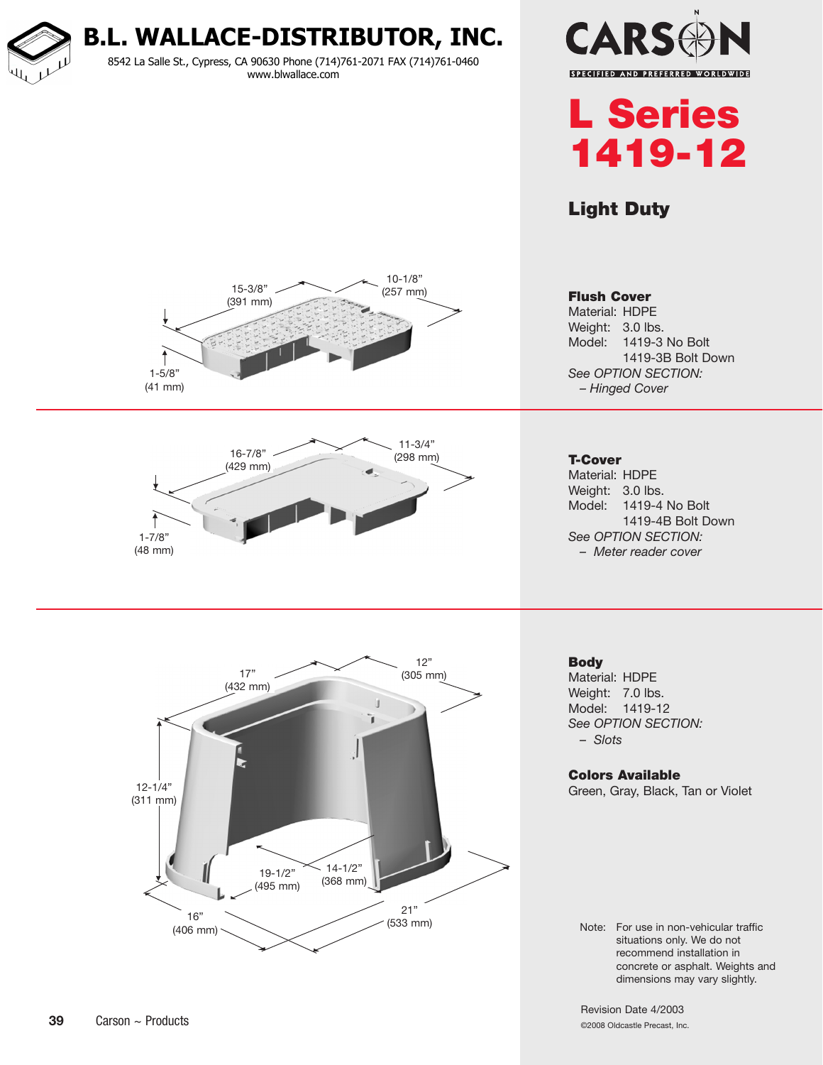**B.L. WALLACE-DISTRIBUTOR, INC.**

8542 La Salle St., Cypress, CA 90630 Phone (714)761-2071 FAX (714)761-0460 www.blwallace.com





### Light Duty







Flush Cover Material: HDPE Weight: 3.0 lbs. Model: 1419-3 No Bolt 1419-3B Bolt Down *See OPTION SECTION: – Hinged Cover*

T-Cover

Material: HDPE Weight: 3.0 lbs. Model: 1419-4 No Bolt 1419-4B Bolt Down *See Option Section: – Meter reader cover*

**Body** 

Material: HDPE Weight: 7.0 lbs. Model: 1419-12 *See Option Section: – Slots*

#### Colors Available

Green, Gray, Black, Tan or Violet

Note: For use in non-vehicular traffic situations only. We do not recommend installation in concrete or asphalt. Weights and dimensions may vary slightly.

Revision Date 4/2003 ©2008 Oldcastle Precast, Inc.